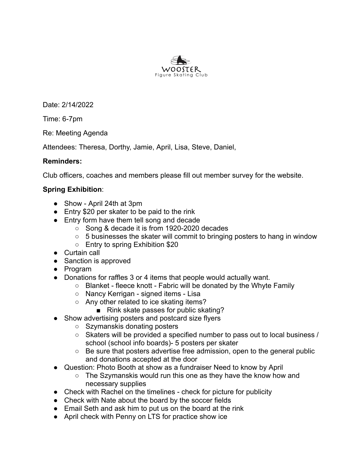

Date: 2/14/2022

Time: 6-7pm

Re: Meeting Agenda

Attendees: Theresa, Dorthy, Jamie, April, Lisa, Steve, Daniel,

## **Reminders:**

Club officers, coaches and members please fill out member survey for the website.

## **Spring Exhibition**:

- Show April 24th at 3pm
- Entry \$20 per skater to be paid to the rink
- Entry form have them tell song and decade
	- Song & decade it is from 1920-2020 decades
	- $\circ$  5 businesses the skater will commit to bringing posters to hang in window
	- Entry to spring Exhibition \$20
- Curtain call
- Sanction is approved
- Program
- Donations for raffles 3 or 4 items that people would actually want.
	- Blanket fleece knott Fabric will be donated by the Whyte Family
	- Nancy Kerrigan signed items Lisa
	- Any other related to ice skating items?
		- Rink skate passes for public skating?
- Show advertising posters and postcard size flyers
	- Szymanskis donating posters
	- Skaters will be provided a specified number to pass out to local business / school (school info boards)- 5 posters per skater
	- Be sure that posters advertise free admission, open to the general public and donations accepted at the door
- Question: Photo Booth at show as a fundraiser Need to know by April
	- The Szymanskis would run this one as they have the know how and necessary supplies
- Check with Rachel on the timelines check for picture for publicity
- Check with Nate about the board by the soccer fields
- Email Seth and ask him to put us on the board at the rink
- April check with Penny on LTS for practice show ice